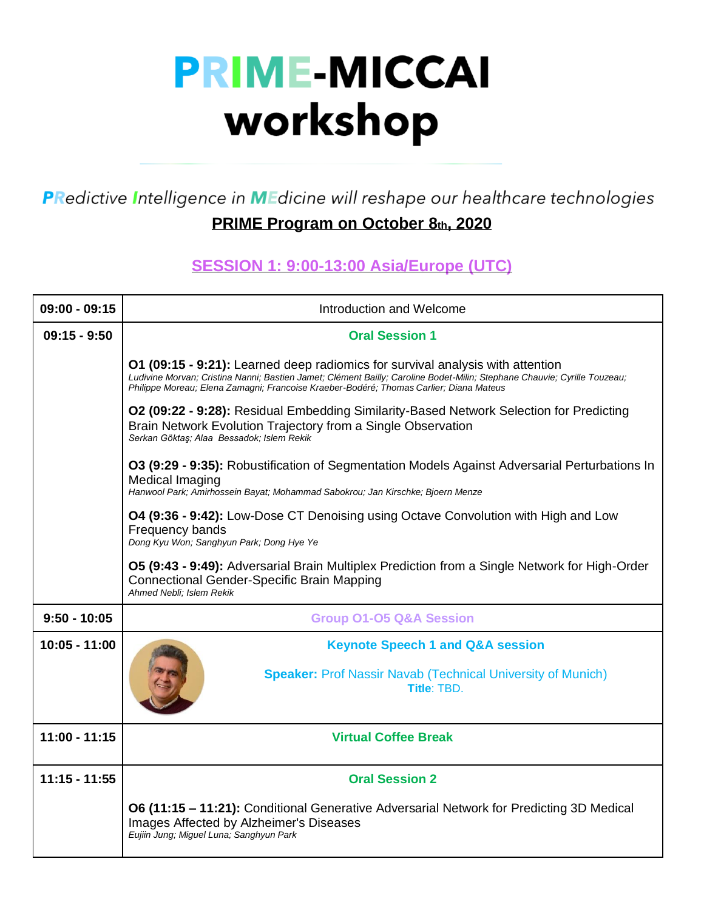## **PRIME-MICCAI** workshop

PRedictive Intelligence in MEdicine will reshape our healthcare technologies

## **PRIME Program on October 8th, 2020**

## **SESSION 1: 9:00-13:00 Asia/Europe (UTC)**

| $09:00 - 09:15$ | Introduction and Welcome                                                                                                                                                                                                                                                                                    |
|-----------------|-------------------------------------------------------------------------------------------------------------------------------------------------------------------------------------------------------------------------------------------------------------------------------------------------------------|
| $09:15 - 9:50$  | <b>Oral Session 1</b>                                                                                                                                                                                                                                                                                       |
|                 | <b>O1 (09:15 - 9:21):</b> Learned deep radiomics for survival analysis with attention<br>Ludivine Morvan; Cristina Nanni; Bastien Jamet; Clément Bailly; Caroline Bodet-Milin; Stephane Chauvie; Cyrille Touzeau;<br>Philippe Moreau; Elena Zamagni; Francoise Kraeber-Bodéré; Thomas Carlier; Diana Mateus |
|                 | O2 (09:22 - 9:28): Residual Embedding Similarity-Based Network Selection for Predicting<br>Brain Network Evolution Trajectory from a Single Observation<br>Serkan Göktaş; Alaa Bessadok; Islem Rekik                                                                                                        |
|                 | O3 (9:29 - 9:35): Robustification of Segmentation Models Against Adversarial Perturbations In<br>Medical Imaging<br>Hanwool Park; Amirhossein Bayat; Mohammad Sabokrou; Jan Kirschke; Bjoern Menze                                                                                                          |
|                 | <b>O4 (9:36 - 9:42):</b> Low-Dose CT Denoising using Octave Convolution with High and Low<br>Frequency bands<br>Dong Kyu Won, Sanghyun Park; Dong Hye Ye                                                                                                                                                    |
|                 | O5 (9:43 - 9:49): Adversarial Brain Multiplex Prediction from a Single Network for High-Order<br><b>Connectional Gender-Specific Brain Mapping</b><br>Ahmed Nebli: Islem Rekik                                                                                                                              |
| $9:50 - 10:05$  | <b>Group 01-05 Q&amp;A Session</b>                                                                                                                                                                                                                                                                          |
| 10:05 - 11:00   | <b>Keynote Speech 1 and Q&amp;A session</b>                                                                                                                                                                                                                                                                 |
|                 | <b>Speaker: Prof Nassir Navab (Technical University of Munich)</b><br>Title: TBD.                                                                                                                                                                                                                           |
| $11:00 - 11:15$ | <b>Virtual Coffee Break</b>                                                                                                                                                                                                                                                                                 |
| $11:15 - 11:55$ | <b>Oral Session 2</b>                                                                                                                                                                                                                                                                                       |
|                 | O6 (11:15 - 11:21): Conditional Generative Adversarial Network for Predicting 3D Medical<br>Images Affected by Alzheimer's Diseases<br>Eujiin Jung; Miguel Luna; Sanghyun Park                                                                                                                              |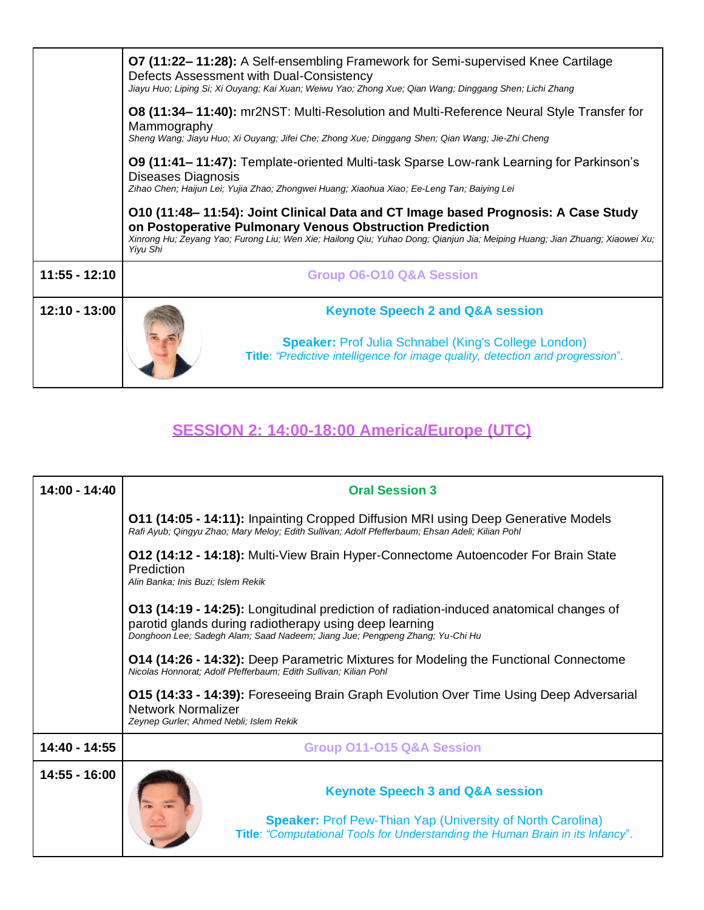|                 | O7 (11:22-11:28): A Self-ensembling Framework for Semi-supervised Knee Cartilage<br>Defects Assessment with Dual-Consistency<br>Jiayu Huo; Liping Si; Xi Ouyang; Kai Xuan; Weiwu Yao; Zhong Xue; Qian Wang; Dinggang Shen; Lichi Zhang<br><b>O8 (11:34–11:40):</b> mr2NST: Multi-Resolution and Multi-Reference Neural Style Transfer for |
|-----------------|-------------------------------------------------------------------------------------------------------------------------------------------------------------------------------------------------------------------------------------------------------------------------------------------------------------------------------------------|
|                 | Mammography<br>Sheng Wang; Jiayu Huo; Xi Ouyang; Jifei Che; Zhong Xue; Dinggang Shen; Qian Wang; Jie-Zhi Cheng                                                                                                                                                                                                                            |
|                 | O9 (11:41–11:47): Template-oriented Multi-task Sparse Low-rank Learning for Parkinson's<br>Diseases Diagnosis                                                                                                                                                                                                                             |
|                 | Zihao Chen; Haijun Lei; Yujia Zhao; Zhongwei Huang; Xiaohua Xiao; Ee-Leng Tan; Baiying Lei                                                                                                                                                                                                                                                |
|                 | O10 (11:48–11:54): Joint Clinical Data and CT Image based Prognosis: A Case Study                                                                                                                                                                                                                                                         |
|                 | on Postoperative Pulmonary Venous Obstruction Prediction<br>Xinrong Hu; Zeyang Yao; Furong Liu; Wen Xie; Hailong Qiu; Yuhao Dong; Qianjun Jia; Meiping Huang; Jian Zhuang; Xiaowei Xu;<br>Yiyu Shi                                                                                                                                        |
| $11:55 - 12:10$ | <b>Group O6-010 Q&amp;A Session</b>                                                                                                                                                                                                                                                                                                       |
| 12:10 - 13:00   | <b>Keynote Speech 2 and Q&amp;A session</b>                                                                                                                                                                                                                                                                                               |

## **SESSION 2: 14:00-18:00 America/Europe (UTC)**

| 14:00 - 14:40 | <b>Oral Session 3</b>                                                                                                                                                                                                             |
|---------------|-----------------------------------------------------------------------------------------------------------------------------------------------------------------------------------------------------------------------------------|
|               | <b>O11 (14:05 - 14:11):</b> Inpainting Cropped Diffusion MRI using Deep Generative Models<br>Rafi Ayub; Qingyu Zhao; Mary Meloy; Edith Sullivan; Adolf Pfefferbaum; Ehsan Adeli; Kilian Pohl                                      |
|               | 012 (14:12 - 14:18): Multi-View Brain Hyper-Connectome Autoencoder For Brain State<br>Prediction<br>Alin Banka; Inis Buzi; Islem Rekik                                                                                            |
|               | 013 (14:19 - 14:25): Longitudinal prediction of radiation-induced anatomical changes of<br>parotid glands during radiotherapy using deep learning<br>Donghoon Lee; Sadegh Alam; Saad Nadeem; Jiang Jue; Pengpeng Zhang; Yu-Chi Hu |
|               | <b>O14 (14:26 - 14:32):</b> Deep Parametric Mixtures for Modeling the Functional Connectome<br>Nicolas Honnorat; Adolf Pfefferbaum; Edith Sullivan; Kilian Pohl                                                                   |
|               | <b>O15 (14:33 - 14:39):</b> Foreseeing Brain Graph Evolution Over Time Using Deep Adversarial<br><b>Network Normalizer</b><br>Zeynep Gurler; Ahmed Nebli; Islem Rekik                                                             |
| 14:40 - 14:55 | <b>Group 011-015 Q&amp;A Session</b>                                                                                                                                                                                              |
| 14:55 - 16:00 | <b>Keynote Speech 3 and Q&amp;A session</b><br><b>Speaker:</b> Prof Pew-Thian Yap (University of North Carolina)<br>Title: "Computational Tools for Understanding the Human Brain in its Infancy".                                |